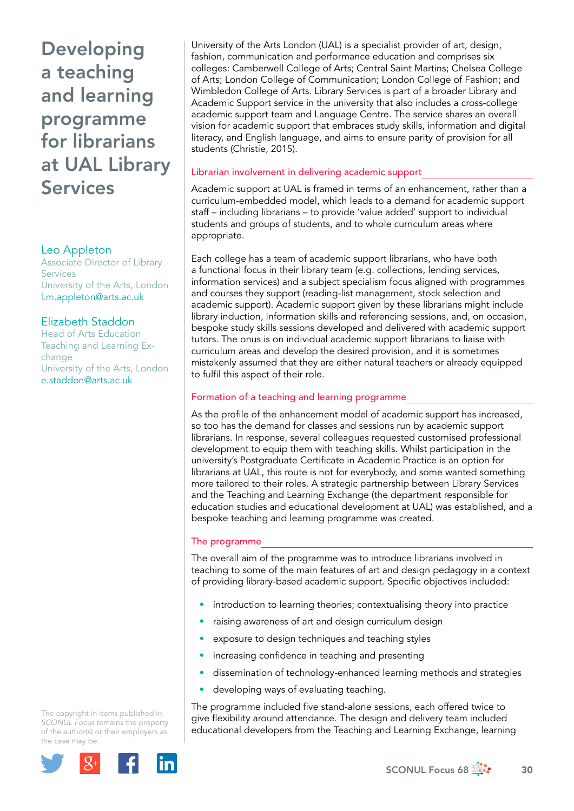# Leo Appleton

Associate Director of Library Services University of the Arts, London [l.m.appleton@arts.ac.uk](mailto:l.m.appleton@arts.ac.uk)

# Elizabeth Staddon

Head of Arts Education Teaching and Learning Exchange University of the Arts, London [e.staddon@arts.ac.uk](mailto:e.staddon@arts.ac.uk)

The copyright in items published in *SCONUL Focus* remains the property of the author(s) or their employers as the case may be.



University of the Arts London (UAL) is a specialist provider of art, design, fashion, communication and performance education and comprises six colleges: Camberwell College of Arts; Central Saint Martins; Chelsea College of Arts; London College of Communication; London College of Fashion; and Wimbledon College of Arts. Library Services is part of a broader Library and Academic Support service in the university that also includes a cross-college academic support team and Language Centre. The service shares an overall vision for academic support that embraces study skills, information and digital literacy, and English language, and aims to ensure parity of provision for all students (Christie, 2015).

# Librarian involvement in delivering academic support

Academic support at UAL is framed in terms of an enhancement, rather than a curriculum-embedded model, which leads to a demand for academic support staff – including librarians – to provide 'value added' support to individual students and groups of students, and to whole curriculum areas where appropriate.

Each college has a team of academic support librarians, who have both a functional focus in their library team (e.g. collections, lending services, information services) and a subject specialism focus aligned with programmes and courses they support (reading-list management, stock selection and academic support). Academic support given by these librarians might include library induction, information skills and referencing sessions, and, on occasion, bespoke study skills sessions developed and delivered with academic support tutors. The onus is on individual academic support librarians to liaise with curriculum areas and develop the desired provision, and it is sometimes mistakenly assumed that they are either natural teachers or already equipped to fulfil this aspect of their role.

# Formation of a teaching and learning programme

As the profile of the enhancement model of academic support has increased, so too has the demand for classes and sessions run by academic support librarians. In response, several colleagues requested customised professional development to equip them with teaching skills. Whilst participation in the university's Postgraduate Certificate in Academic Practice is an option for librarians at UAL, this route is not for everybody, and some wanted something more tailored to their roles. A strategic partnership between Library Services and the Teaching and Learning Exchange (the department responsible for education studies and educational development at UAL) was established, and a bespoke teaching and learning programme was created.

### The programme

The overall aim of the programme was to introduce librarians involved in teaching to some of the main features of art and design pedagogy in a context of providing library-based academic support. Specific objectives included:

- introduction to learning theories; contextualising theory into practice
- raising awareness of art and design curriculum design
- exposure to design techniques and teaching styles
- increasing confidence in teaching and presenting
- dissemination of technology-enhanced learning methods and strategies
- developing ways of evaluating teaching.

The programme included five stand-alone sessions, each offered twice to give flexibility around attendance. The design and delivery team included educational developers from the Teaching and Learning Exchange, learning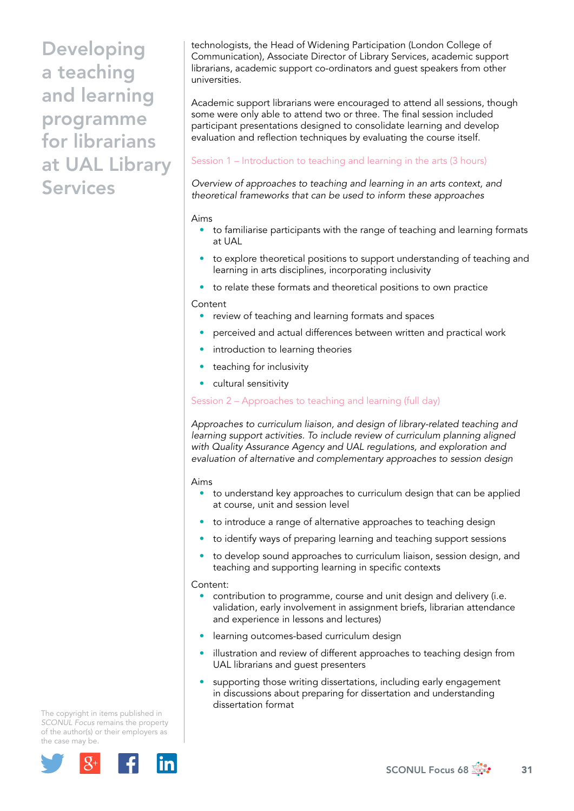technologists, the Head of Widening Participation (London College of Communication), Associate Director of Library Services, academic support librarians, academic support co-ordinators and guest speakers from other universities.

Academic support librarians were encouraged to attend all sessions, though some were only able to attend two or three. The final session included participant presentations designed to consolidate learning and develop evaluation and reflection techniques by evaluating the course itself.

### Session 1 – Introduction to teaching and learning in the arts (3 hours)

*Overview of approaches to teaching and learning in an arts context, and theoretical frameworks that can be used to inform these approaches*

#### Aims

- to familiarise participants with the range of teaching and learning formats at UAL
- to explore theoretical positions to support understanding of teaching and learning in arts disciplines, incorporating inclusivity
- to relate these formats and theoretical positions to own practice

# **Content**

- review of teaching and learning formats and spaces
- perceived and actual differences between written and practical work
- introduction to learning theories
- teaching for inclusivity
- cultural sensitivity

Session 2 – Approaches to teaching and learning (full day)

*Approaches to curriculum liaison, and design of library-related teaching and learning support activities. To include review of curriculum planning aligned with Quality Assurance Agency and UAL regulations, and exploration and evaluation of alternative and complementary approaches to session design*

#### Aims

- to understand key approaches to curriculum design that can be applied at course, unit and session level
- to introduce a range of alternative approaches to teaching design
- to identify ways of preparing learning and teaching support sessions
- to develop sound approaches to curriculum liaison, session design, and teaching and supporting learning in specific contexts

#### Content:

- contribution to programme, course and unit design and delivery (i.e. validation, early involvement in assignment briefs, librarian attendance and experience in lessons and lectures)
- learning outcomes-based curriculum design
- illustration and review of different approaches to teaching design from UAL librarians and guest presenters
- supporting those writing dissertations, including early engagement in discussions about preparing for dissertation and understanding dissertation format

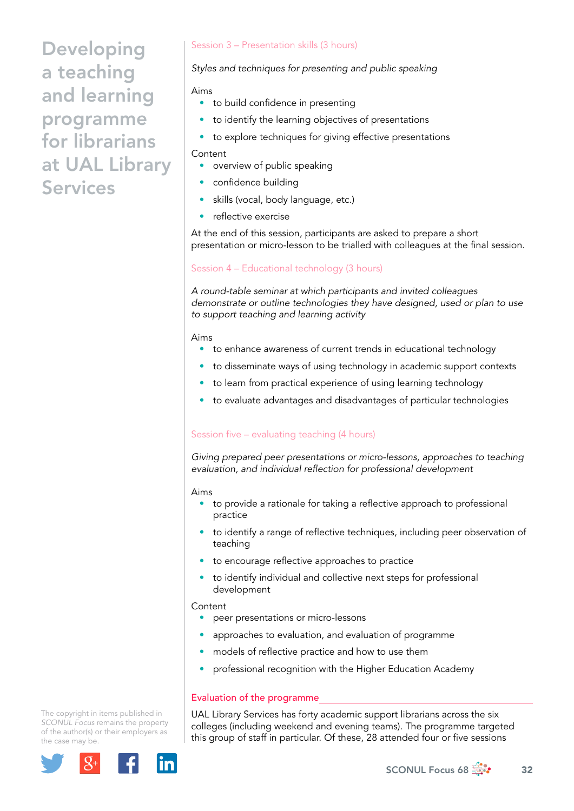# Session 3 – Presentation skills (3 hours)

### *Styles and techniques for presenting and public speaking*

### Aims

- to build confidence in presenting
- to identify the learning objectives of presentations
- to explore techniques for giving effective presentations

### **Content**

- overview of public speaking
- confidence building
- skills (vocal, body language, etc.)
- reflective exercise

At the end of this session, participants are asked to prepare a short presentation or micro-lesson to be trialled with colleagues at the final session.

# Session 4 – Educational technology (3 hours)

*A round-table seminar at which participants and invited colleagues demonstrate or outline technologies they have designed, used or plan to use to support teaching and learning activity*

#### Aims

- to enhance awareness of current trends in educational technology
- to disseminate ways of using technology in academic support contexts
- to learn from practical experience of using learning technology
- to evaluate advantages and disadvantages of particular technologies

### Session five – evaluating teaching (4 hours)

*Giving prepared peer presentations or micro-lessons, approaches to teaching evaluation, and individual reflection for professional development*

#### Aims

- to provide a rationale for taking a reflective approach to professional practice
- to identify a range of reflective techniques, including peer observation of teaching
- to encourage reflective approaches to practice
- to identify individual and collective next steps for professional development

### Content

- peer presentations or micro-lessons
- approaches to evaluation, and evaluation of programme
- models of reflective practice and how to use them
- professional recognition with the Higher Education Academy

### Evaluation of the programme

UAL Library Services has forty academic support librarians across the six colleges (including weekend and evening teams). The programme targeted this group of staff in particular. Of these, 28 attended four or five sessions

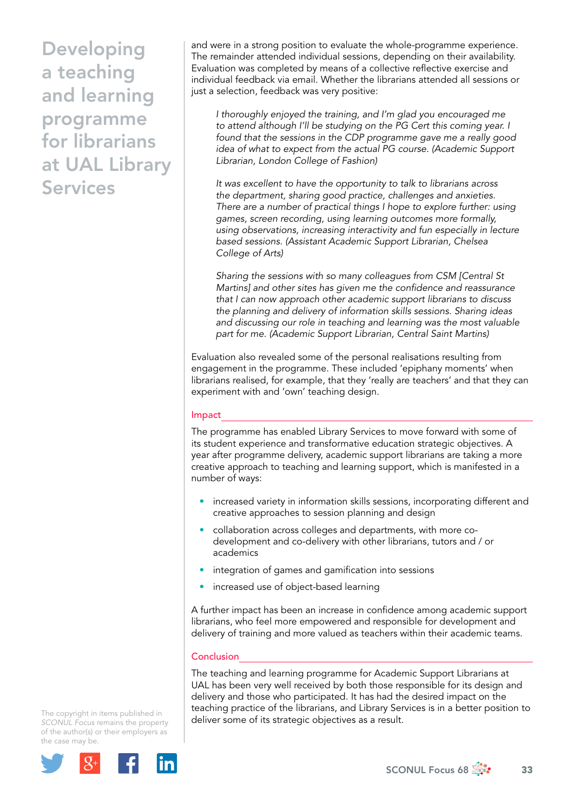and were in a strong position to evaluate the whole-programme experience. The remainder attended individual sessions, depending on their availability. Evaluation was completed by means of a collective reflective exercise and individual feedback via email. Whether the librarians attended all sessions or just a selection, feedback was very positive:

*I thoroughly enjoyed the training, and I'm glad you encouraged me*  to attend although I'll be studying on the PG Cert this coming year. I *found that the sessions in the CDP programme gave me a really good idea of what to expect from the actual PG course. (Academic Support Librarian, London College of Fashion)* 

*It was excellent to have the opportunity to talk to librarians across the department, sharing good practice, challenges and anxieties. There are a number of practical things I hope to explore further: using games, screen recording, using learning outcomes more formally, using observations, increasing interactivity and fun especially in lecture based sessions. (Assistant Academic Support Librarian, Chelsea College of Arts)*

*Sharing the sessions with so many colleagues from CSM [Central St Martins] and other sites has given me the confidence and reassurance that I can now approach other academic support librarians to discuss the planning and delivery of information skills sessions. Sharing ideas and discussing our role in teaching and learning was the most valuable part for me. (Academic Support Librarian, Central Saint Martins)*

Evaluation also revealed some of the personal realisations resulting from engagement in the programme. These included 'epiphany moments' when librarians realised, for example, that they 'really are teachers' and that they can experiment with and 'own' teaching design.

### Impact

The programme has enabled Library Services to move forward with some of its student experience and transformative education strategic objectives. A year after programme delivery, academic support librarians are taking a more creative approach to teaching and learning support, which is manifested in a number of ways:

- increased variety in information skills sessions, incorporating different and creative approaches to session planning and design
- collaboration across colleges and departments, with more codevelopment and co-delivery with other librarians, tutors and / or academics
- integration of games and gamification into sessions
- increased use of object-based learning

A further impact has been an increase in confidence among academic support librarians, who feel more empowered and responsible for development and delivery of training and more valued as teachers within their academic teams.

#### **Conclusion**

The teaching and learning programme for Academic Support Librarians at UAL has been very well received by both those responsible for its design and delivery and those who participated. It has had the desired impact on the teaching practice of the librarians, and Library Services is in a better position to deliver some of its strategic objectives as a result.